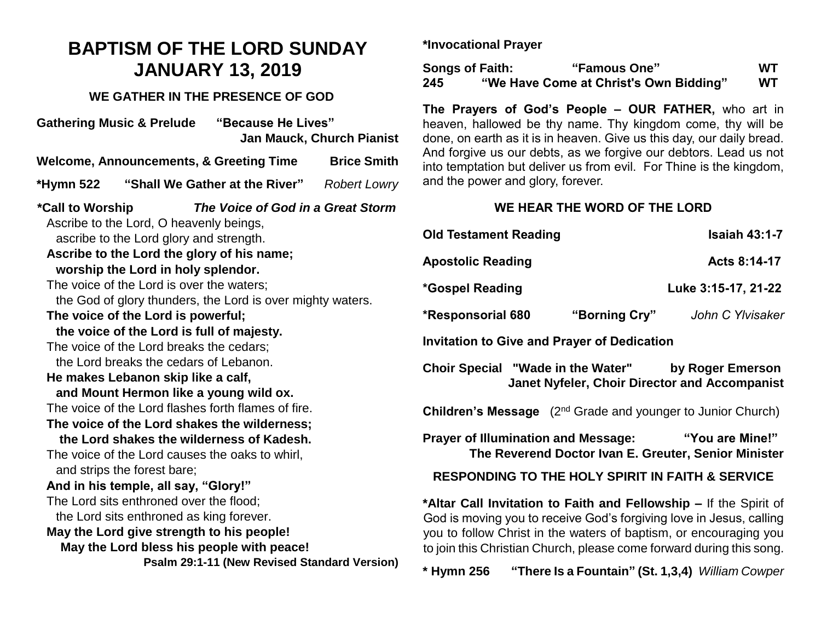## **BAPTISM OF THE LORD SUNDAY JANUARY 13, 2019**

## **WE GATHER IN THE PRESENCE OF GOD**

| "Because He Lives"<br><b>Gathering Music &amp; Prelude</b><br><b>Jan Mauck, Church Pianist</b>                                                                                                                                                                                                                                                                                                                                                                                                                                                                                                                                                                                                                                                                                                                                                                                                                                                                                                                                                                                                                     |  |  |  |  |  |
|--------------------------------------------------------------------------------------------------------------------------------------------------------------------------------------------------------------------------------------------------------------------------------------------------------------------------------------------------------------------------------------------------------------------------------------------------------------------------------------------------------------------------------------------------------------------------------------------------------------------------------------------------------------------------------------------------------------------------------------------------------------------------------------------------------------------------------------------------------------------------------------------------------------------------------------------------------------------------------------------------------------------------------------------------------------------------------------------------------------------|--|--|--|--|--|
| <b>Welcome, Announcements, &amp; Greeting Time</b><br><b>Brice Smith</b>                                                                                                                                                                                                                                                                                                                                                                                                                                                                                                                                                                                                                                                                                                                                                                                                                                                                                                                                                                                                                                           |  |  |  |  |  |
| "Shall We Gather at the River"<br>*Hymn 522<br><b>Robert Lowry</b>                                                                                                                                                                                                                                                                                                                                                                                                                                                                                                                                                                                                                                                                                                                                                                                                                                                                                                                                                                                                                                                 |  |  |  |  |  |
| *Call to Worship<br>The Voice of God in a Great Storm<br>Ascribe to the Lord, O heavenly beings,<br>ascribe to the Lord glory and strength.<br>Ascribe to the Lord the glory of his name;<br>worship the Lord in holy splendor.<br>The voice of the Lord is over the waters;<br>the God of glory thunders, the Lord is over mighty waters.<br>The voice of the Lord is powerful;<br>the voice of the Lord is full of majesty.<br>The voice of the Lord breaks the cedars;<br>the Lord breaks the cedars of Lebanon.<br>He makes Lebanon skip like a calf,<br>and Mount Hermon like a young wild ox.<br>The voice of the Lord flashes forth flames of fire.<br>The voice of the Lord shakes the wilderness;<br>the Lord shakes the wilderness of Kadesh.<br>The voice of the Lord causes the oaks to whirl,<br>and strips the forest bare;<br>And in his temple, all say, "Glory!"<br>The Lord sits enthroned over the flood;<br>the Lord sits enthroned as king forever.<br>May the Lord give strength to his people!<br>May the Lord bless his people with peace!<br>Psalm 29:1-11 (New Revised Standard Version) |  |  |  |  |  |

**\*Invocational Prayer**

| <b>Songs of Faith:</b> | "Famous One"                           | wт  |
|------------------------|----------------------------------------|-----|
| 245                    | "We Have Come at Christ's Own Bidding" | WT. |

**The Prayers of God's People – OUR FATHER,** who art in heaven, hallowed be thy name. Thy kingdom come, thy will be done, on earth as it is in heaven. Give us this day, our daily bread. And forgive us our debts, as we forgive our debtors. Lead us not into temptation but deliver us from evil. For Thine is the kingdom, and the power and glory, forever.

## **WE HEAR THE WORD OF THE LORD**

| <b>Old Testament Reading</b>                                                                                                                                                                                  |               | <b>Isaiah 43:1-7</b>                                                    |  |  |
|---------------------------------------------------------------------------------------------------------------------------------------------------------------------------------------------------------------|---------------|-------------------------------------------------------------------------|--|--|
| <b>Apostolic Reading</b>                                                                                                                                                                                      |               | Acts 8:14-17                                                            |  |  |
| *Gospel Reading                                                                                                                                                                                               |               | Luke 3:15-17, 21-22                                                     |  |  |
| *Responsorial 680                                                                                                                                                                                             | "Borning Cry" | John C Ylvisaker                                                        |  |  |
| Invitation to Give and Prayer of Dedication                                                                                                                                                                   |               |                                                                         |  |  |
| Choir Special "Wade in the Water" by Roger Emerson<br><b>Janet Nyfeler, Choir Director and Accompanist</b>                                                                                                    |               |                                                                         |  |  |
| <b>Children's Message</b> (2 <sup>nd</sup> Grade and younger to Junior Church)                                                                                                                                |               |                                                                         |  |  |
| <b>Prayer of Illumination and Message:</b>                                                                                                                                                                    |               | "You are Mine!"<br>The Reverend Doctor Ivan E. Greuter, Senior Minister |  |  |
| <b>RESPONDING TO THE HOLY SPIRIT IN FAITH &amp; SERVICE</b>                                                                                                                                                   |               |                                                                         |  |  |
| *Altar Call Invitation to Faith and Fellowship – If the Spirit of<br>God is moving you to receive God's forgiving love in Jesus, calling<br>you to follow Christ in the waters of baptism, or encouraging you |               |                                                                         |  |  |

**\* Hymn 256 "There Is a Fountain" (St. 1,3,4)** *William Cowper*

to join this Christian Church, please come forward during this song.